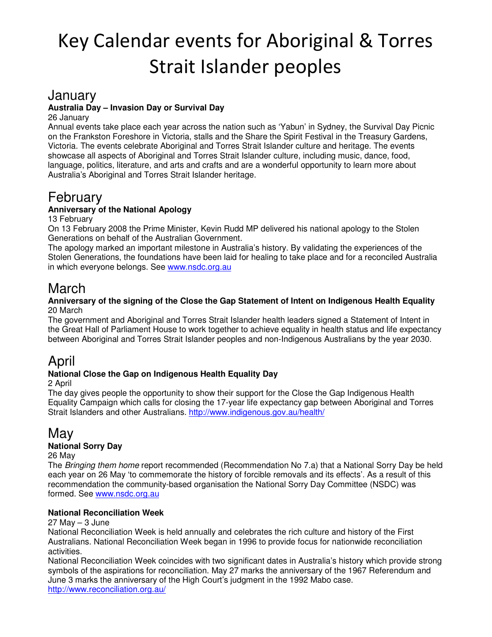# Key Calendar events for Aboriginal & Torres Strait Islander peoples

### January

#### **Australia Day – Invasion Day or Survival Day**

26 January

Annual events take place each year across the nation such as 'Yabun' in Sydney, the Survival Day Picnic on the Frankston Foreshore in Victoria, stalls and the Share the Spirit Festival in the Treasury Gardens, Victoria. The events celebrate Aboriginal and Torres Strait Islander culture and heritage. The events showcase all aspects of Aboriginal and Torres Strait Islander culture, including music, dance, food, language, politics, literature, and arts and crafts and are a wonderful opportunity to learn more about Australia's Aboriginal and Torres Strait Islander heritage.

## February

#### **Anniversary of the National Apology**

13 February

On 13 February 2008 the Prime Minister, Kevin Rudd MP delivered his national apology to the Stolen Generations on behalf of the Australian Government.

The apology marked an important milestone in Australia's history. By validating the experiences of the Stolen Generations, the foundations have been laid for healing to take place and for a reconciled Australia in which everyone belongs. See www.nsdc.org.au

### March

#### **Anniversary of the signing of the Close the Gap Statement of Intent on Indigenous Health Equality** 20 March

The government and Aboriginal and Torres Strait Islander health leaders signed a Statement of Intent in the Great Hall of Parliament House to work together to achieve equality in health status and life expectancy between Aboriginal and Torres Strait Islander peoples and non-Indigenous Australians by the year 2030.

### April

#### **National Close the Gap on Indigenous Health Equality Day**

2 April

The day gives people the opportunity to show their support for the Close the Gap Indigenous Health Equality Campaign which calls for closing the 17-year life expectancy gap between Aboriginal and Torres Strait Islanders and other Australians. http://www.indigenous.gov.au/health/

## May

#### **National Sorry Day**

26 May

The Bringing them home report recommended (Recommendation No 7.a) that a National Sorry Day be held each year on 26 May 'to commemorate the history of forcible removals and its effects'. As a result of this recommendation the community-based organisation the National Sorry Day Committee (NSDC) was formed. See www.nsdc.org.au

#### **National Reconciliation Week**

 $27$  May  $-3$  June

National Reconciliation Week is held annually and celebrates the rich culture and history of the First Australians. National Reconciliation Week began in 1996 to provide focus for nationwide reconciliation activities.

National Reconciliation Week coincides with two significant dates in Australia's history which provide strong symbols of the aspirations for reconciliation. May 27 marks the anniversary of the 1967 Referendum and June 3 marks the anniversary of the High Court's judgment in the 1992 Mabo case. http://www.reconciliation.org.au/